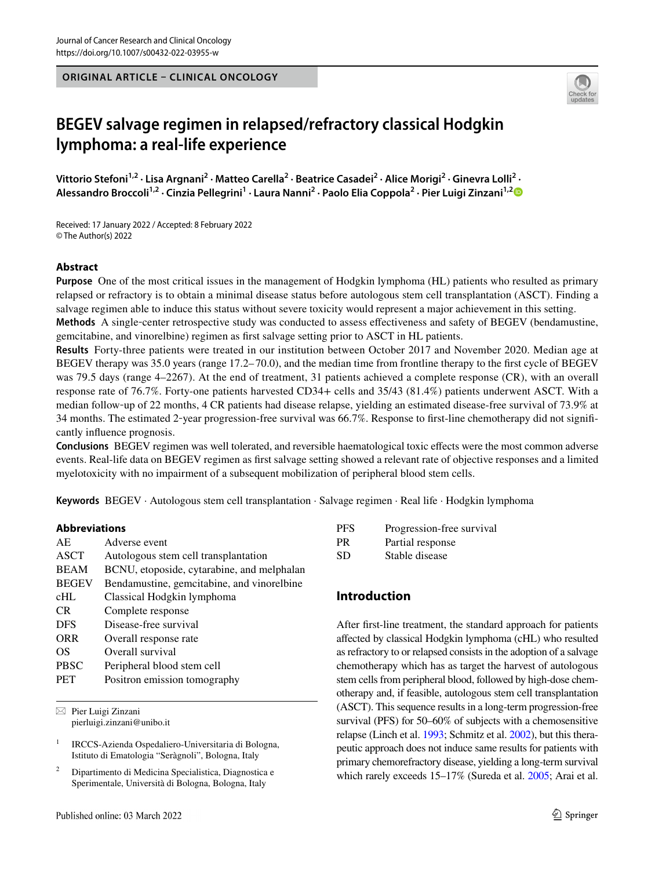**ORIGINAL ARTICLE – CLINICAL ONCOLOGY**



# **BEGEV salvage regimen in relapsed/refractory classical Hodgkin lymphoma: a real‑life experience**

Vittorio Stefoni<sup>1,2</sup> · Lisa Argnani<sup>2</sup> · Matteo Carella<sup>2</sup> · Beatrice Casadei<sup>2</sup> · Alice Morigi<sup>2</sup> · Ginevra Lolli<sup>2</sup> · **Alessandro Broccoli1,2 · Cinzia Pellegrini1 · Laura Nanni2 · Paolo Elia Coppola2 · Pier Luigi Zinzani1,[2](http://orcid.org/0000-0002-2112-2651)**

Received: 17 January 2022 / Accepted: 8 February 2022 © The Author(s) 2022

#### **Abstract**

**Purpose** One of the most critical issues in the management of Hodgkin lymphoma (HL) patients who resulted as primary relapsed or refractory is to obtain a minimal disease status before autologous stem cell transplantation (ASCT). Finding a salvage regimen able to induce this status without severe toxicity would represent a major achievement in this setting.

**Methods** A single‐center retrospective study was conducted to assess efectiveness and safety of BEGEV (bendamustine, gemcitabine, and vinorelbine) regimen as frst salvage setting prior to ASCT in HL patients.

**Results** Forty-three patients were treated in our institution between October 2017 and November 2020. Median age at BEGEV therapy was 35.0 years (range 17.2– 70.0), and the median time from frontline therapy to the frst cycle of BEGEV was 79.5 days (range 4–2267). At the end of treatment, 31 patients achieved a complete response (CR), with an overall response rate of 76.7%. Forty-one patients harvested CD34+ cells and 35/43 (81.4%) patients underwent ASCT. With a median follow-up of 22 months, 4 CR patients had disease relapse, yielding an estimated disease-free survival of 73.9% at 34 months. The estimated 2‐year progression-free survival was 66.7%. Response to frst-line chemotherapy did not signifcantly infuence prognosis.

**Conclusions** BEGEV regimen was well tolerated, and reversible haematological toxic effects were the most common adverse events. Real-life data on BEGEV regimen as frst salvage setting showed a relevant rate of objective responses and a limited myelotoxicity with no impairment of a subsequent mobilization of peripheral blood stem cells.

**Keywords** BEGEV · Autologous stem cell transplantation · Salvage regimen · Real life · Hodgkin lymphoma

#### **Abbreviations**

| AE.          | Adverse event                              |  |
|--------------|--------------------------------------------|--|
| ASCT         | Autologous stem cell transplantation       |  |
| <b>BEAM</b>  | BCNU, etoposide, cytarabine, and melphalan |  |
| <b>BEGEV</b> | Bendamustine, gemcitabine, and vinorelbine |  |
| cHL          | Classical Hodgkin lymphoma                 |  |
| CR.          | Complete response                          |  |
| <b>DFS</b>   | Disease-free survival                      |  |
| <b>ORR</b>   | Overall response rate                      |  |
| OS           | Overall survival                           |  |
| <b>PBSC</b>  | Peripheral blood stem cell                 |  |
| <b>PET</b>   | Positron emission tomography               |  |
|              |                                            |  |

 $\boxtimes$  Pier Luigi Zinzani pierluigi.zinzani@unibo.it

<sup>1</sup> IRCCS-Azienda Ospedaliero-Universitaria di Bologna, Istituto di Ematologia "Seràgnoli", Bologna, Italy

<sup>2</sup> Dipartimento di Medicina Specialistica, Diagnostica e Sperimentale, Università di Bologna, Bologna, Italy

| PFS | Progression-free survival |
|-----|---------------------------|
| PR  | Partial response          |
| SD  | Stable disease            |

# **Introduction**

After frst-line treatment, the standard approach for patients afected by classical Hodgkin lymphoma (cHL) who resulted as refractory to or relapsed consists in the adoption of a salvage chemotherapy which has as target the harvest of autologous stem cells from peripheral blood, followed by high-dose chemotherapy and, if feasible, autologous stem cell transplantation (ASCT). This sequence results in a long-term progression-free survival (PFS) for 50–60% of subjects with a chemosensitive relapse (Linch et al. [1993;](#page-4-0) Schmitz et al. [2002\)](#page-4-1), but this therapeutic approach does not induce same results for patients with primary chemorefractory disease, yielding a long-term survival which rarely exceeds 15–17% (Sureda et al. [2005;](#page-4-2) Arai et al.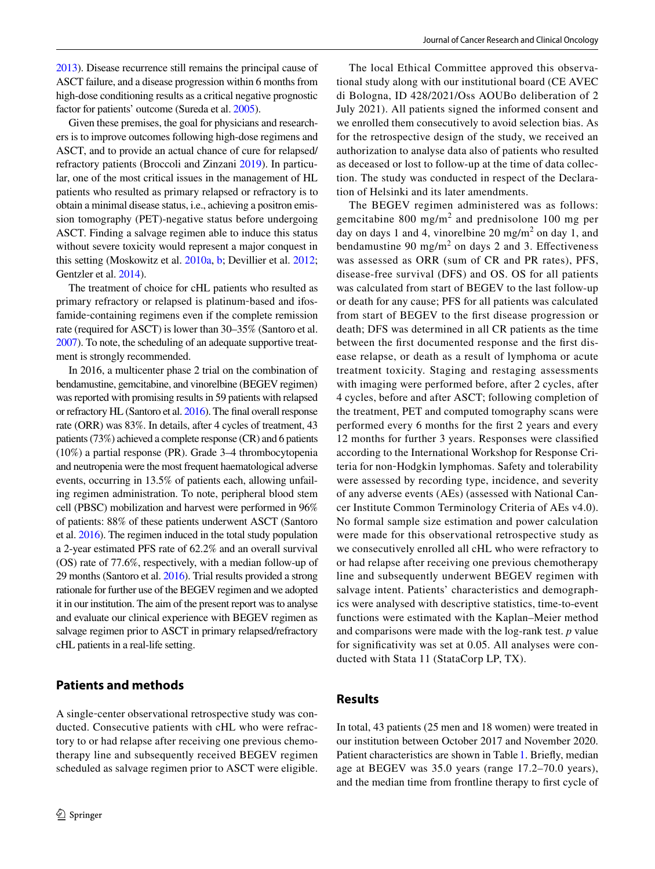[2013](#page-4-3)). Disease recurrence still remains the principal cause of ASCT failure, and a disease progression within 6 months from high-dose conditioning results as a critical negative prognostic factor for patients' outcome (Sureda et al. [2005\)](#page-4-2).

Given these premises, the goal for physicians and researchers is to improve outcomes following high-dose regimens and ASCT, and to provide an actual chance of cure for relapsed/ refractory patients (Broccoli and Zinzani [2019\)](#page-4-4). In particular, one of the most critical issues in the management of HL patients who resulted as primary relapsed or refractory is to obtain a minimal disease status, i.e., achieving a positron emission tomography (PET)-negative status before undergoing ASCT. Finding a salvage regimen able to induce this status without severe toxicity would represent a major conquest in this setting (Moskowitz et al. [2010a](#page-4-5), [b](#page-4-6); Devillier et al. [2012](#page-4-7); Gentzler et al. [2014\)](#page-4-8).

The treatment of choice for cHL patients who resulted as primary refractory or relapsed is platinum‐based and ifosfamide-containing regimens even if the complete remission rate (required for ASCT) is lower than 30–35% (Santoro et al. [2007](#page-4-9)). To note, the scheduling of an adequate supportive treatment is strongly recommended.

In 2016, a multicenter phase 2 trial on the combination of bendamustine, gemcitabine, and vinorelbine (BEGEV regimen) was reported with promising results in 59 patients with relapsed or refractory HL (Santoro et al. [2016](#page-4-10)). The fnal overall response rate (ORR) was 83%. In details, after 4 cycles of treatment, 43 patients (73%) achieved a complete response (CR) and 6 patients (10%) a partial response (PR). Grade 3–4 thrombocytopenia and neutropenia were the most frequent haematological adverse events, occurring in 13.5% of patients each, allowing unfailing regimen administration. To note, peripheral blood stem cell (PBSC) mobilization and harvest were performed in 96% of patients: 88% of these patients underwent ASCT (Santoro et al. [2016\)](#page-4-10). The regimen induced in the total study population a 2-year estimated PFS rate of 62.2% and an overall survival (OS) rate of 77.6%, respectively, with a median follow-up of 29 months (Santoro et al. [2016\)](#page-4-10). Trial results provided a strong rationale for further use of the BEGEV regimen and we adopted it in our institution. The aim of the present report was to analyse and evaluate our clinical experience with BEGEV regimen as salvage regimen prior to ASCT in primary relapsed/refractory cHL patients in a real-life setting.

# **Patients and methods**

A single‐center observational retrospective study was conducted. Consecutive patients with cHL who were refractory to or had relapse after receiving one previous chemotherapy line and subsequently received BEGEV regimen scheduled as salvage regimen prior to ASCT were eligible.

The local Ethical Committee approved this observational study along with our institutional board (CE AVEC di Bologna, ID 428/2021/Oss AOUBo deliberation of 2 July 2021). All patients signed the informed consent and we enrolled them consecutively to avoid selection bias. As for the retrospective design of the study, we received an authorization to analyse data also of patients who resulted as deceased or lost to follow-up at the time of data collection. The study was conducted in respect of the Declaration of Helsinki and its later amendments.

The BEGEV regimen administered was as follows: gemcitabine  $800 \text{ mg/m}^2$  and prednisolone 100 mg per day on days 1 and 4, vinorelbine  $20 \text{ mg/m}^2$  on day 1, and bendamustine 90 mg/m<sup>2</sup> on days 2 and 3. Effectiveness was assessed as ORR (sum of CR and PR rates), PFS, disease-free survival (DFS) and OS. OS for all patients was calculated from start of BEGEV to the last follow-up or death for any cause; PFS for all patients was calculated from start of BEGEV to the frst disease progression or death; DFS was determined in all CR patients as the time between the frst documented response and the frst disease relapse, or death as a result of lymphoma or acute treatment toxicity. Staging and restaging assessments with imaging were performed before, after 2 cycles, after 4 cycles, before and after ASCT; following completion of the treatment, PET and computed tomography scans were performed every 6 months for the frst 2 years and every 12 months for further 3 years. Responses were classifed according to the International Workshop for Response Criteria for non‐Hodgkin lymphomas. Safety and tolerability were assessed by recording type, incidence, and severity of any adverse events (AEs) (assessed with National Cancer Institute Common Terminology Criteria of AEs v4.0). No formal sample size estimation and power calculation were made for this observational retrospective study as we consecutively enrolled all cHL who were refractory to or had relapse after receiving one previous chemotherapy line and subsequently underwent BEGEV regimen with salvage intent. Patients' characteristics and demographics were analysed with descriptive statistics, time-to-event functions were estimated with the Kaplan–Meier method and comparisons were made with the log-rank test. *p* value for signifcativity was set at 0.05. All analyses were conducted with Stata 11 (StataCorp LP, TX).

### **Results**

In total, 43 patients (25 men and 18 women) were treated in our institution between October 2017 and November 2020. Patient characteristics are shown in Table [1.](#page-2-0) Briefy, median age at BEGEV was 35.0 years (range 17.2–70.0 years), and the median time from frontline therapy to frst cycle of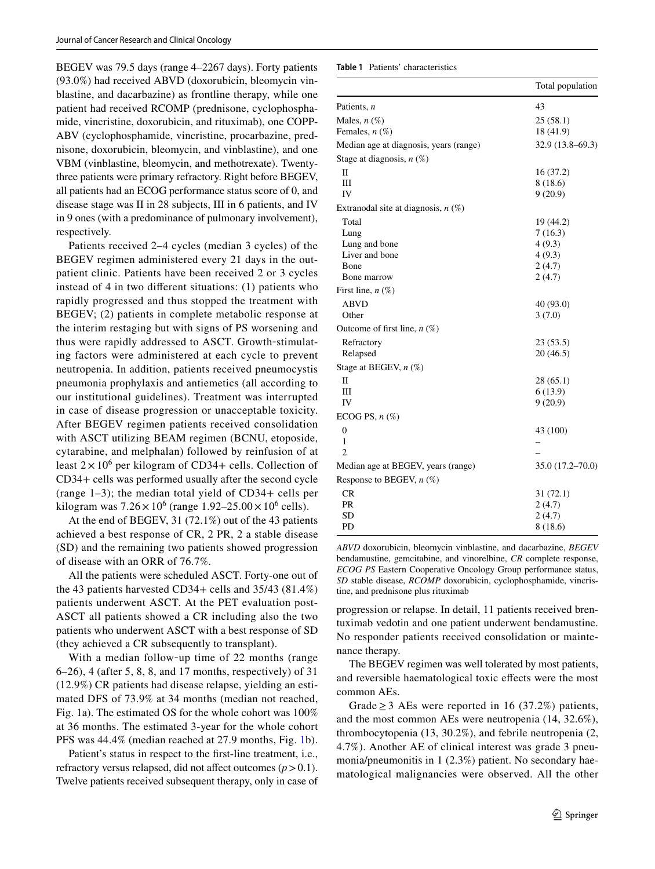BEGEV was 79.5 days (range 4–2267 days). Forty patients (93.0%) had received ABVD (doxorubicin, bleomycin vinblastine, and dacarbazine) as frontline therapy, while one patient had received RCOMP (prednisone, cyclophosphamide, vincristine, doxorubicin, and rituximab), one COPP-ABV (cyclophosphamide, vincristine, procarbazine, prednisone, doxorubicin, bleomycin, and vinblastine), and one VBM (vinblastine, bleomycin, and methotrexate). Twentythree patients were primary refractory. Right before BEGEV, all patients had an ECOG performance status score of 0, and disease stage was II in 28 subjects, III in 6 patients, and IV in 9 ones (with a predominance of pulmonary involvement), respectively.

Patients received 2–4 cycles (median 3 cycles) of the BEGEV regimen administered every 21 days in the outpatient clinic. Patients have been received 2 or 3 cycles instead of 4 in two diferent situations: (1) patients who rapidly progressed and thus stopped the treatment with BEGEV; (2) patients in complete metabolic response at the interim restaging but with signs of PS worsening and thus were rapidly addressed to ASCT. Growth‐stimulating factors were administered at each cycle to prevent neutropenia. In addition, patients received pneumocystis pneumonia prophylaxis and antiemetics (all according to our institutional guidelines). Treatment was interrupted in case of disease progression or unacceptable toxicity. After BEGEV regimen patients received consolidation with ASCT utilizing BEAM regimen (BCNU, etoposide, cytarabine, and melphalan) followed by reinfusion of at least  $2 \times 10^6$  per kilogram of CD34+ cells. Collection of CD34+ cells was performed usually after the second cycle (range 1–3); the median total yield of CD34+ cells per kilogram was  $7.26 \times 10^6$  (range  $1.92 - 25.00 \times 10^6$  cells).

At the end of BEGEV, 31 (72.1%) out of the 43 patients achieved a best response of CR, 2 PR, 2 a stable disease (SD) and the remaining two patients showed progression of disease with an ORR of 76.7%.

All the patients were scheduled ASCT. Forty-one out of the 43 patients harvested CD34+ cells and 35/43 (81.4%) patients underwent ASCT. At the PET evaluation post-ASCT all patients showed a CR including also the two patients who underwent ASCT with a best response of SD (they achieved a CR subsequently to transplant).

With a median follow-up time of 22 months (range 6–26), 4 (after 5, 8, 8, and 17 months, respectively) of 31 (12.9%) CR patients had disease relapse, yielding an estimated DFS of 73.9% at 34 months (median not reached, Fig. 1a). The estimated OS for the whole cohort was 100% at 36 months. The estimated 3-year for the whole cohort PFS was 44.4% (median reached at 27.9 months, Fig. [1b](#page-3-0)).

Patient's status in respect to the frst-line treatment, i.e., refractory versus relapsed, did not affect outcomes  $(p > 0.1)$ . Twelve patients received subsequent therapy, only in case of <span id="page-2-0"></span>**Table 1** Patients' characteristics

|                                        | Total population    |
|----------------------------------------|---------------------|
| Patients, n                            | 43                  |
| Males, $n(\%)$                         | 25(58.1)            |
| Females, $n$ $(\%)$                    | 18 (41.9)           |
| Median age at diagnosis, years (range) | $32.9(13.8 - 69.3)$ |
| Stage at diagnosis, $n$ (%)            |                     |
| П                                      | 16(37.2)            |
| Ш                                      | 8 (18.6)            |
| IV                                     | 9(20.9)             |
| Extranodal site at diagnosis, $n$ (%)  |                     |
| Total                                  | 19 (44.2)           |
| Lung                                   | 7(16.3)             |
| Lung and bone                          | 4(9.3)              |
| Liver and bone                         | 4(9.3)              |
| Bone                                   | 2(4.7)              |
| Bone marrow                            | 2(4.7)              |
| First line, $n(\%)$                    |                     |
| <b>ABVD</b>                            | 40 (93.0)           |
| Other                                  | 3(7.0)              |
| Outcome of first line, $n$ (%)         |                     |
| Refractory                             | 23 (53.5)           |
| Relapsed                               | 20(46.5)            |
| Stage at BEGEV, $n$ (%)                |                     |
| П                                      | 28(65.1)            |
| Ш                                      | 6(13.9)             |
| IV                                     | 9(20.9)             |
| ECOG PS, $n$ $(\%)$                    |                     |
| $\overline{0}$                         | 43 (100)            |
| 1                                      |                     |
| $\overline{c}$                         |                     |
| Median age at BEGEV, years (range)     | 35.0 (17.2-70.0)    |
| Response to BEGEV, $n$ (%)             |                     |
| <b>CR</b>                              | 31(72.1)            |
| PR                                     | 2(4.7)              |
| SD                                     | 2(4.7)              |
| PD                                     | 8 (18.6)            |
|                                        |                     |

*ABVD* doxorubicin, bleomycin vinblastine, and dacarbazine, *BEGEV* bendamustine, gemcitabine, and vinorelbine, *CR* complete response, *ECOG PS* Eastern Cooperative Oncology Group performance status, *SD* stable disease, *RCOMP* doxorubicin, cyclophosphamide, vincristine, and prednisone plus rituximab

progression or relapse. In detail, 11 patients received brentuximab vedotin and one patient underwent bendamustine. No responder patients received consolidation or maintenance therapy.

The BEGEV regimen was well tolerated by most patients, and reversible haematological toxic effects were the most common AEs.

Grade  $\geq$  3 AEs were reported in 16 (37.2%) patients, and the most common AEs were neutropenia (14, 32.6%), thrombocytopenia (13, 30.2%), and febrile neutropenia (2, 4.7%). Another AE of clinical interest was grade 3 pneumonia/pneumonitis in 1 (2.3%) patient. No secondary haematological malignancies were observed. All the other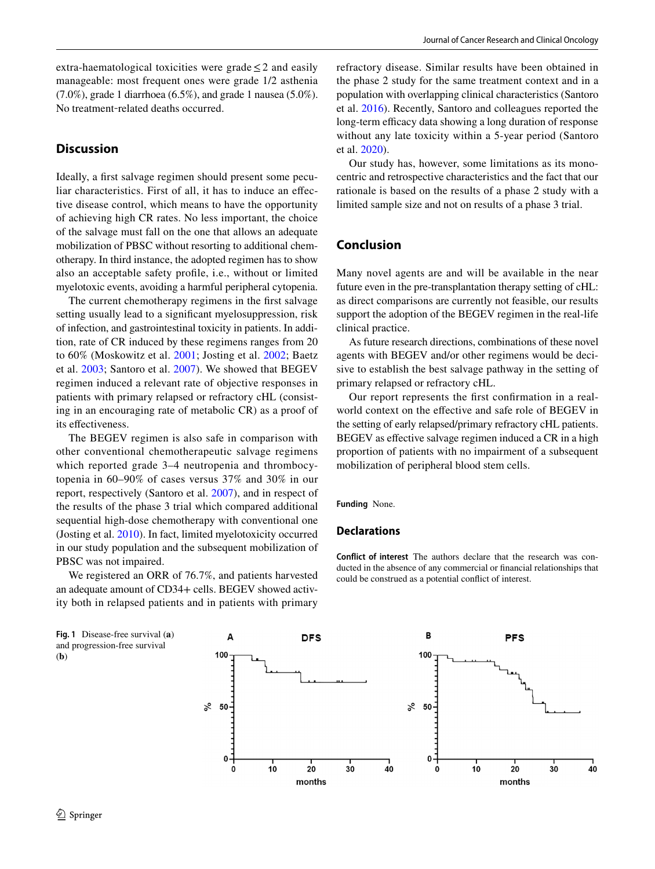extra-haematological toxicities were grade  $\leq 2$  and easily manageable: most frequent ones were grade 1/2 asthenia (7.0%), grade 1 diarrhoea (6.5%), and grade 1 nausea (5.0%). No treatment‐related deaths occurred.

# **Discussion**

Ideally, a frst salvage regimen should present some peculiar characteristics. First of all, it has to induce an efective disease control, which means to have the opportunity of achieving high CR rates. No less important, the choice of the salvage must fall on the one that allows an adequate mobilization of PBSC without resorting to additional chemotherapy. In third instance, the adopted regimen has to show also an acceptable safety profle, i.e., without or limited myelotoxic events, avoiding a harmful peripheral cytopenia.

The current chemotherapy regimens in the frst salvage setting usually lead to a signifcant myelosuppression, risk of infection, and gastrointestinal toxicity in patients. In addition, rate of CR induced by these regimens ranges from 20 to 60% (Moskowitz et al. [2001;](#page-4-11) Josting et al. [2002](#page-4-12); Baetz et al. [2003](#page-4-13); Santoro et al. [2007](#page-4-9)). We showed that BEGEV regimen induced a relevant rate of objective responses in patients with primary relapsed or refractory cHL (consisting in an encouraging rate of metabolic CR) as a proof of its effectiveness.

The BEGEV regimen is also safe in comparison with other conventional chemotherapeutic salvage regimens which reported grade 3–4 neutropenia and thrombocytopenia in 60–90% of cases versus 37% and 30% in our report, respectively (Santoro et al. [2007](#page-4-9)), and in respect of the results of the phase 3 trial which compared additional sequential high-dose chemotherapy with conventional one (Josting et al. [2010\)](#page-4-14). In fact, limited myelotoxicity occurred in our study population and the subsequent mobilization of PBSC was not impaired.

We registered an ORR of 76.7%, and patients harvested an adequate amount of CD34+ cells. BEGEV showed activity both in relapsed patients and in patients with primary

Journal of Cancer Research and Clinical Oncology

refractory disease. Similar results have been obtained in the phase 2 study for the same treatment context and in a population with overlapping clinical characteristics (Santoro et al. [2016](#page-4-10)). Recently, Santoro and colleagues reported the long-term efficacy data showing a long duration of response without any late toxicity within a 5-year period (Santoro et al. [2020](#page-4-15)).

Our study has, however, some limitations as its monocentric and retrospective characteristics and the fact that our rationale is based on the results of a phase 2 study with a limited sample size and not on results of a phase 3 trial.

# **Conclusion**

Many novel agents are and will be available in the near future even in the pre-transplantation therapy setting of cHL: as direct comparisons are currently not feasible, our results support the adoption of the BEGEV regimen in the real-life clinical practice.

As future research directions, combinations of these novel agents with BEGEV and/or other regimens would be decisive to establish the best salvage pathway in the setting of primary relapsed or refractory cHL.

Our report represents the frst confrmation in a realworld context on the efective and safe role of BEGEV in the setting of early relapsed/primary refractory cHL patients. BEGEV as effective salvage regimen induced a CR in a high proportion of patients with no impairment of a subsequent mobilization of peripheral blood stem cells.

**Funding** None.

#### **Declarations**

**Conflict of interest** The authors declare that the research was conducted in the absence of any commercial or fnancial relationships that could be construed as a potential confict of interest.

<span id="page-3-0"></span>**Fig. 1** Disease-free survival (**a**) and progression-free survival (**b**)